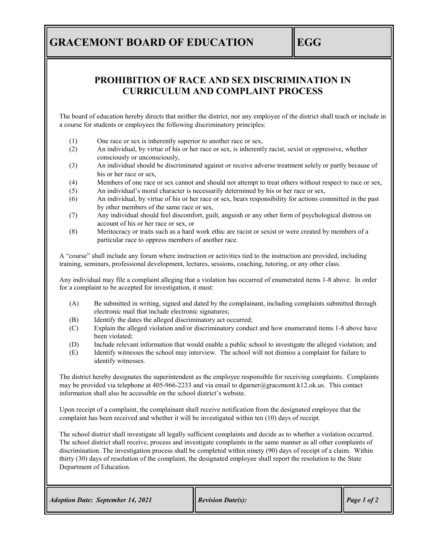## **GRACEMONT BOARD OF EDUCATION EGG**

### **PROHIBITION OF RACE AND SEX DISCRIMINATION IN CURRICULUM AND COMPLAINT PROCESS**

The board of education hereby directs that neither the district, nor any employee of the district shall teach or include in a course for students or employees the following discriminatory principles:

- (1) One race or sex is inherently superior to another race or sex,
- (2) An individual, by virtue of his or her race or sex, is inherently racist, sexist or oppressive, whether consciously or unconsciously,
- (3) An individual should be discriminated against or receive adverse treatment solely or partly because of his or her race or sex,
- (4) Members of one race or sex cannot and should not attempt to treat others without respect to race or sex,
- (5) An individual's moral character is necessarily determined by his or her race or sex,
- (6) An individual, by virtue of his or her race or sex, bears responsibility for actions committed in the past by other members of the same race or sex,
- (7) Any individual should feel discomfort, guilt, anguish or any other form of psychological distress on account of his or her race or sex, or
- (8) Meritocracy or traits such as a hard work ethic are racist or sexist or were created by members of a particular race to oppress members of another race.

A "course" shall include any forum where instruction or activities tied to the instruction are provided, including training, seminars, professional development, lectures, sessions, coaching, tutoring, or any other class.

Any individual may file a complaint alleging that a violation has occurred of enumerated items 1-8 above. In order for a complaint to be accepted for investigation, it must:

- (A) Be submitted in writing, signed and dated by the complainant, including complaints submitted through electronic mail that include electronic signatures;
- (B) Identify the dates the alleged discriminatory act occurred;
- (C) Explain the alleged violation and/or discriminatory conduct and how enumerated items 1-8 above have been violated;
- (D) Include relevant information that would enable a public school to investigate the alleged violation; and
- (E) Identify witnesses the school may interview. The school will not dismiss a complaint for failure to identify witnesses.

The district hereby designates the superintendent as the employee responsible for receiving complaints. Complaints may be provided via telephone at 405-966-2233 and via email to dgarner@gracemont.k12.ok.us. This contact information shall also be accessible on the school district's website.

Upon receipt of a complaint, the complainant shall receive notification from the designated employee that the complaint has been received and whether it will be investigated within ten (10) days of receipt.

The school district shall investigate all legally sufficient complaints and decide as to whether a violation occurred. The school district shall receive, process and investigate complaints in the same manner as all other complaints of discrimination. The investigation process shall be completed within ninety (90) days of receipt of a claim. Within thirty (30) days of resolution of the complaint, the designated employee shall report the resolution to the State Department of Education.